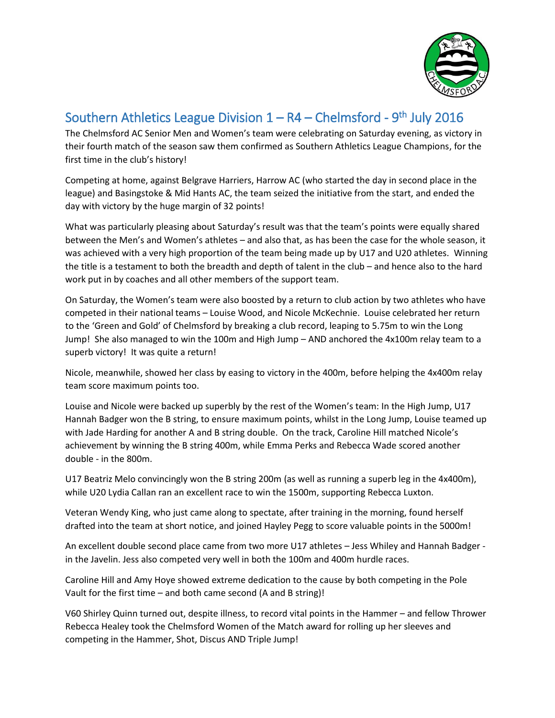

## Southern Athletics League Division  $1 - R4 - Chelmsford - 9<sup>th</sup> July 2016$

The Chelmsford AC Senior Men and Women's team were celebrating on Saturday evening, as victory in their fourth match of the season saw them confirmed as Southern Athletics League Champions, for the first time in the club's history!

Competing at home, against Belgrave Harriers, Harrow AC (who started the day in second place in the league) and Basingstoke & Mid Hants AC, the team seized the initiative from the start, and ended the day with victory by the huge margin of 32 points!

What was particularly pleasing about Saturday's result was that the team's points were equally shared between the Men's and Women's athletes – and also that, as has been the case for the whole season, it was achieved with a very high proportion of the team being made up by U17 and U20 athletes. Winning the title is a testament to both the breadth and depth of talent in the club – and hence also to the hard work put in by coaches and all other members of the support team.

On Saturday, the Women's team were also boosted by a return to club action by two athletes who have competed in their national teams – Louise Wood, and Nicole McKechnie. Louise celebrated her return to the 'Green and Gold' of Chelmsford by breaking a club record, leaping to 5.75m to win the Long Jump! She also managed to win the 100m and High Jump – AND anchored the 4x100m relay team to a superb victory! It was quite a return!

Nicole, meanwhile, showed her class by easing to victory in the 400m, before helping the 4x400m relay team score maximum points too.

Louise and Nicole were backed up superbly by the rest of the Women's team: In the High Jump, U17 Hannah Badger won the B string, to ensure maximum points, whilst in the Long Jump, Louise teamed up with Jade Harding for another A and B string double. On the track, Caroline Hill matched Nicole's achievement by winning the B string 400m, while Emma Perks and Rebecca Wade scored another double - in the 800m.

U17 Beatriz Melo convincingly won the B string 200m (as well as running a superb leg in the 4x400m), while U20 Lydia Callan ran an excellent race to win the 1500m, supporting Rebecca Luxton.

Veteran Wendy King, who just came along to spectate, after training in the morning, found herself drafted into the team at short notice, and joined Hayley Pegg to score valuable points in the 5000m!

An excellent double second place came from two more U17 athletes – Jess Whiley and Hannah Badger in the Javelin. Jess also competed very well in both the 100m and 400m hurdle races.

Caroline Hill and Amy Hoye showed extreme dedication to the cause by both competing in the Pole Vault for the first time – and both came second (A and B string)!

V60 Shirley Quinn turned out, despite illness, to record vital points in the Hammer – and fellow Thrower Rebecca Healey took the Chelmsford Women of the Match award for rolling up her sleeves and competing in the Hammer, Shot, Discus AND Triple Jump!